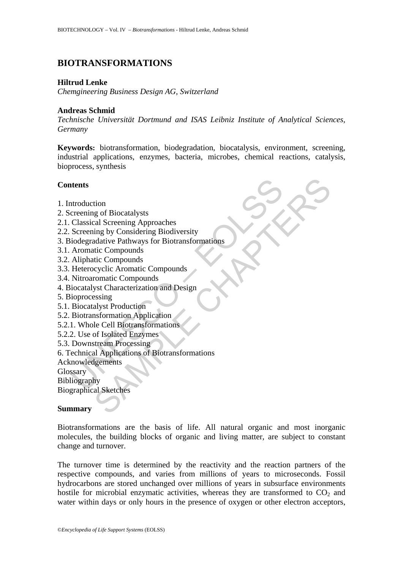# **BIOTRANSFORMATIONS**

## **Hiltrud Lenke**

*Chemgineering Business Design AG, Switzerland* 

#### **Andreas Schmid**

*Technische Universität Dortmund and ISAS Leibniz Institute of Analytical Sciences, Germany* 

**Keywords:** biotransformation, biodegradation, biocatalysis, environment, screening, industrial applications, enzymes, bacteria, microbes, chemical reactions, catalysis, bioprocess, synthesis

## **Contents**

- 1. Introduction
- 2. Screening of Biocatalysts
- 2.1. Classical Screening Approaches
- 2.2. Screening by Considering Biodiversity
- the method of Biocalaysts<br>
Classical Screening Approaches<br>
Classical Screening Approaches<br>
Screening by Considering Biodiversity<br>
Screening by Considering Biodiversity<br>
iodegradative Pathways for Biotransformations<br>
Aromat tion<br>g of Biocatalysts<br>and Screening Approaches<br>ing by Considering Biodiversity<br>dative Pathways for Biotransformations<br>tic Compounds<br>tic Compounds<br>yst Characterization and Design<br>yst Characterization and Design<br>system ally 3. Biodegradative Pathways for Biotransformations
- 3.1. Aromatic Compounds
- 3.2. Aliphatic Compounds
- 3.3. Heterocyclic Aromatic Compounds
- 3.4. Nitroaromatic Compounds
- 4. Biocatalyst Characterization and Design
- 5. Bioprocessing
- 5.1. Biocatalyst Production
- 5.2. Biotransformation Application
- 5.2.1. Whole Cell Biotransformations
- 5.2.2. Use of Isolated Enzymes
- 5.3. Downstream Processing
- 6. Technical Applications of Biotransformations
- Acknowledgements

**Glossary** 

Bibliography

Biographical Sketches

#### **Summary**

Biotransformations are the basis of life. All natural organic and most inorganic molecules, the building blocks of organic and living matter, are subject to constant change and turnover.

The turnover time is determined by the reactivity and the reaction partners of the respective compounds, and varies from millions of years to microseconds. Fossil hydrocarbons are stored unchanged over millions of years in subsurface environments hostile for microbial enzymatic activities, whereas they are transformed to  $CO<sub>2</sub>$  and water within days or only hours in the presence of oxygen or other electron acceptors,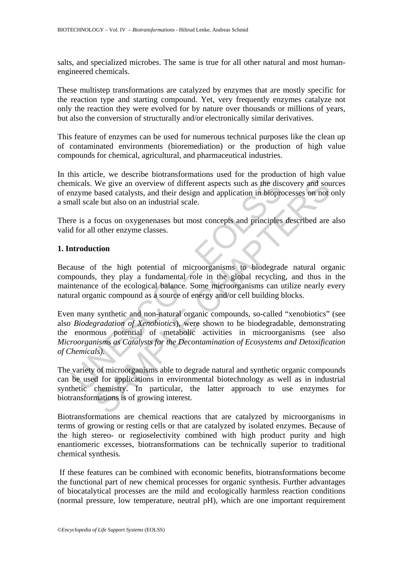salts, and specialized microbes. The same is true for all other natural and most humanengineered chemicals.

These multistep transformations are catalyzed by enzymes that are mostly specific for the reaction type and starting compound. Yet, very frequently enzymes catalyze not only the reaction they were evolved for by nature over thousands or millions of years, but also the conversion of structurally and/or electronically similar derivatives.

This feature of enzymes can be used for numerous technical purposes like the clean up of contaminated environments (bioremediation) or the production of high value compounds for chemical, agricultural, and pharmaceutical industries.

In this article, we describe biotransformations used for the production of high value chemicals. We give an overview of different aspects such as the discovery and sources of enzyme based catalysts, and their design and application in bioprocesses on not only a small scale but also on an industrial scale.

There is a focus on oxygenenases but most concepts and principles described are also valid for all other enzyme classes.

#### **1. Introduction**

Because of the high potential of microorganisms to biodegrade natural organic compounds, they play a fundamental role in the global recycling, and thus in the maintenance of the ecological balance. Some microorganisms can utilize nearly every natural organic compound as a source of energy and/or cell building blocks.

micals. We give an overview of different aspects such as the disayme based catalysts, and their design and application in biopro<br>all scale but also on an industrial scale.<br>The is a focus on oxygenenases but most concepts a We give an overview of different aspects such as the discovery and souls based catalysts, and their design and application in bioprocesses on not le but also on an industrial scale.<br>
focus on oxygenenases but most concepts Even many synthetic and non-natural organic compounds, so-called "xenobiotics" (see also *Biodegradation of Xenobiotics*), were shown to be biodegradable, demonstrating the enormous potential of metabolic activities in microorganisms (see also *Microorganisms as Catalysts for the Decontamination of Ecosystems and Detoxification of Chemicals).*

The variety of microorganisms able to degrade natural and synthetic organic compounds can be used for applications in environmental biotechnology as well as in industrial synthetic chemistry. In particular, the latter approach to use enzymes for biotransformations is of growing interest.

Biotransformations are chemical reactions that are catalyzed by microorganisms in terms of growing or resting cells or that are catalyzed by isolated enzymes. Because of the high stereo- or regioselectivity combined with high product purity and high enantiomeric excesses, biotransformations can be technically superior to traditional chemical synthesis.

 If these features can be combined with economic benefits, biotransformations become the functional part of new chemical processes for organic synthesis. Further advantages of biocatalytical processes are the mild and ecologically harmless reaction conditions (normal pressure, low temperature, neutral pH), which are one important requirement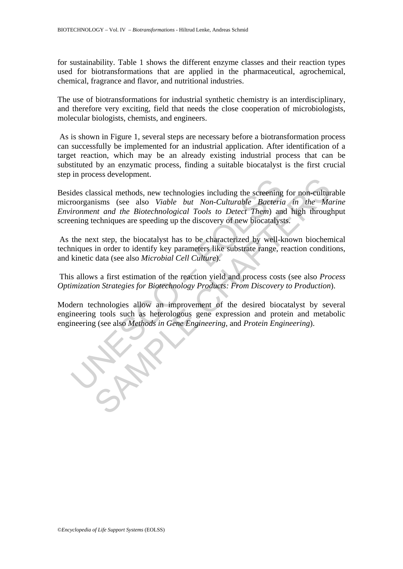for sustainability. Table 1 shows the different enzyme classes and their reaction types used for biotransformations that are applied in the pharmaceutical, agrochemical, chemical, fragrance and flavor, and nutritional industries.

The use of biotransformations for industrial synthetic chemistry is an interdisciplinary, and therefore very exciting, field that needs the close cooperation of microbiologists, molecular biologists, chemists, and engineers.

 As is shown in Figure 1, several steps are necessary before a biotransformation process can successfully be implemented for an industrial application. After identification of a target reaction, which may be an already existing industrial process that can be substituted by an enzymatic process, finding a suitable biocatalyst is the first crucial step in process development.

The state of the Biotechnologies including the screening<br>ides classical methods, new technological Tools to Detect Them) and<br>ening techniques are speeding up the discovery of new biocatalyst<br>the next step, the biocatalyst Example through the screening for non-cultural<br>sisted methods, new technologies including the screening for non-cultural<br>timas (see also Viable but Non-Culturable Bacteria in the Ma<br>echniques are speeding up the discovery Besides classical methods, new technologies including the screening for non-culturable microorganisms (see also *Viable but Non-Culturable Bacteria in the Marine Environment and the Biotechnological Tools to Detect Them*) and high throughput screening techniques are speeding up the discovery of new biocatalysts.

 As the next step, the biocatalyst has to be characterized by well-known biochemical techniques in order to identify key parameters like substrate range, reaction conditions, and kinetic data (see also *Microbial Cell Culture*).

 This allows a first estimation of the reaction yield and process costs (see also *Process Optimization Strategies for Biotechnology Products: From Discovery to Production*).

Modern technologies allow an improvement of the desired biocatalyst by several engineering tools such as heterologous gene expression and protein and metabolic engineering (see also *Methods in Gene Engineering*, and *Protein Engineering*).

©*Encyclopedia of Life Support Systems* (EOLSS)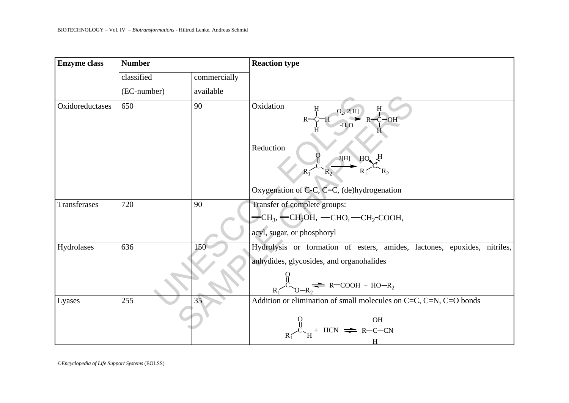| BIOTECHNOLOGY – Vol. IV – Biotransformations - Hiltrud Lenke, Andreas Schmid |               |              |                                                                                                                                     |  |  |  |
|------------------------------------------------------------------------------|---------------|--------------|-------------------------------------------------------------------------------------------------------------------------------------|--|--|--|
| <b>Enzyme</b> class                                                          | <b>Number</b> |              | <b>Reaction type</b>                                                                                                                |  |  |  |
|                                                                              | classified    | commercially |                                                                                                                                     |  |  |  |
|                                                                              | (EC-number)   | available    |                                                                                                                                     |  |  |  |
| Oxidoreductases                                                              | 650           | 90           | Oxidation<br>$\frac{O_2, 2[H]}{P}$ R-C-OH<br>Reduction<br>$^{2[H]}$ $HO$ <sup>H</sup><br>Oxygenation of C-C, C=C, (de)hydrogenation |  |  |  |
| Transferases                                                                 | 720           | 90           | Transfer of complete groups:                                                                                                        |  |  |  |
|                                                                              |               |              | $-CH_3$ , $-CH_2OH$ , $-CHO$ , $-CH_2$ -COOH,                                                                                       |  |  |  |
|                                                                              |               |              | acyl, sugar, or phosphoryl                                                                                                          |  |  |  |
| Hydrolases                                                                   | 636           | 150          | Hydrolysis or formation of esters, amides, lactones, epoxides, nitriles,                                                            |  |  |  |
|                                                                              |               |              | anhydides, glycosides, and organohalides<br>$\frac{1}{2}$ R-COOH + HO-R <sub>2</sub>                                                |  |  |  |
| Lyases                                                                       | 255           | 35           | Addition or elimination of small molecules on C=C, C=N, C=O bonds                                                                   |  |  |  |
|                                                                              |               |              | $R_{\text{H}}^{\text{H}} + \text{HCN} \rightleftharpoons R-\text{C}-\text{CN}$                                                      |  |  |  |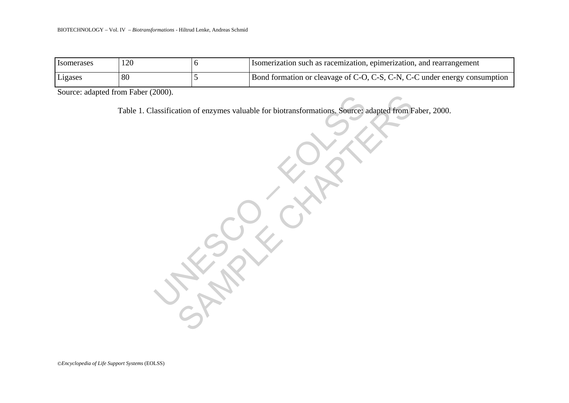|                                                                                                       |                                    | BIOTECHNOLOGY – Vol. IV – Biotransformations - Hiltrud Lenke, Andreas Schmid |                                                                           |  |  |
|-------------------------------------------------------------------------------------------------------|------------------------------------|------------------------------------------------------------------------------|---------------------------------------------------------------------------|--|--|
|                                                                                                       |                                    |                                                                              |                                                                           |  |  |
| Isomerases                                                                                            | 120                                | 6                                                                            | Isomerization such as racemization, epimerization, and rearrangement      |  |  |
| Ligases                                                                                               | 80                                 | 5                                                                            | Bond formation or cleavage of C-O, C-S, C-N, C-C under energy consumption |  |  |
|                                                                                                       | Source: adapted from Faber (2000). |                                                                              |                                                                           |  |  |
| Table 1. Classification of enzymes valuable for biotransformations. Source: adapted from Faber, 2000. |                                    |                                                                              |                                                                           |  |  |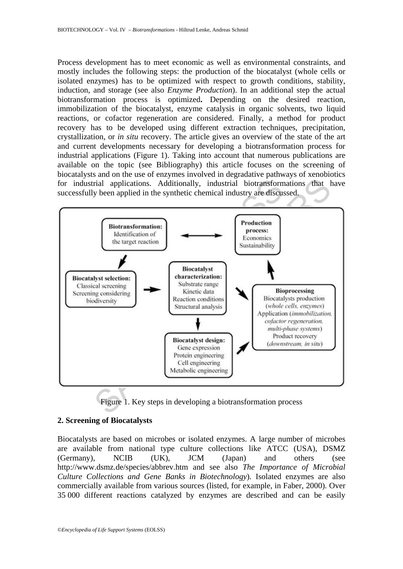Process development has to meet economic as well as environmental constraints, and mostly includes the following steps: the production of the biocatalyst (whole cells or isolated enzymes) has to be optimized with respect to growth conditions, stability, induction, and storage (see also *Enzyme Production*). In an additional step the actual biotransformation process is optimized**.** Depending on the desired reaction, immobilization of the biocatalyst, enzyme catalysis in organic solvents, two liquid reactions, or cofactor regeneration are considered. Finally, a method for product recovery has to be developed using different extraction techniques, precipitation, crystallization, or *in situ* recovery. The article gives an overview of the state of the art and current developments necessary for developing a biotransformation process for industrial applications (Figure 1). Taking into account that numerous publications are available on the topic (see Bibliography) this article focuses on the screening of biocatalysts and on the use of enzymes involved in degradative pathways of xenobiotics for industrial applications. Additionally, industrial biotransformations that have successfully been applied in the synthetic chemical industry are discussed.



Figure 1. Key steps in developing a biotransformation process

## **2. Screening of Biocatalysts**

Biocatalysts are based on microbes or isolated enzymes. A large number of microbes are available from national type culture collections like ATCC (USA), DSMZ (Germany), NCIB (UK), JCM (Japan) and others (see http://www.dsmz.de/species/abbrev.htm and see also *The Importance of Microbial Culture Collections and Gene Banks in Biotechnology*). Isolated enzymes are also commercially available from various sources (listed, for example, in Faber, 2000). Over 35 000 different reactions catalyzed by enzymes are described and can be easily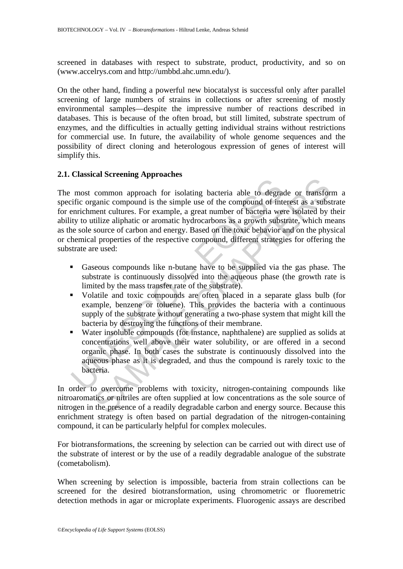screened in databases with respect to substrate, product, productivity, and so on (www.accelrys.com and http://umbbd.ahc.umn.edu/).

On the other hand, finding a powerful new biocatalyst is successful only after parallel screening of large numbers of strains in collections or after screening of mostly environmental samples––despite the impressive number of reactions described in databases. This is because of the often broad, but still limited, substrate spectrum of enzymes, and the difficulties in actually getting individual strains without restrictions for commercial use. In future, the availability of whole genome sequences and the possibility of direct cloning and heterologous expression of genes of interest will simplify this.

## **2.1. Classical Screening Approaches**

nost common approach for isolating bacteria able to degratific organic compound is the simple use of the compound of interval we<br>inversiment cultures. For example, a great number of bacteria we<br>ity to utilize aliphatic or common approach for isolating bacteria able to degrade or transformation<br>common approach for isolating bacteria able to degrade or transformed<br>energient compound is the simple use of the compound of interest as a substitut The most common approach for isolating bacteria able to degrade or transform a specific organic compound is the simple use of the compound of interest as a substrate for enrichment cultures. For example, a great number of bacteria were isolated by their ability to utilize aliphatic or aromatic hydrocarbons as a growth substrate, which means as the sole source of carbon and energy. Based on the toxic behavior and on the physical or chemical properties of the respective compound, different strategies for offering the substrate are used:

- Gaseous compounds like n-butane have to be supplied via the gas phase. The substrate is continuously dissolved into the aqueous phase (the growth rate is limited by the mass transfer rate of the substrate).
- Volatile and toxic compounds are often placed in a separate glass bulb (for example, benzene or toluene). This provides the bacteria with a continuous supply of the substrate without generating a two-phase system that might kill the bacteria by destroying the functions of their membrane.
- Water insoluble compounds (for instance, naphthalene) are supplied as solids at concentrations well above their water solubility, or are offered in a second organic phase. In both cases the substrate is continuously dissolved into the aqueous phase as it is degraded, and thus the compound is rarely toxic to the bacteria.

In order to overcome problems with toxicity, nitrogen-containing compounds like nitroaromatics or nitriles are often supplied at low concentrations as the sole source of nitrogen in the presence of a readily degradable carbon and energy source. Because this enrichment strategy is often based on partial degradation of the nitrogen-containing compound, it can be particularly helpful for complex molecules.

For biotransformations, the screening by selection can be carried out with direct use of the substrate of interest or by the use of a readily degradable analogue of the substrate (cometabolism).

When screening by selection is impossible, bacteria from strain collections can be screened for the desired biotransformation, using chromometric or fluoremetric detection methods in agar or microplate experiments. Fluorogenic assays are described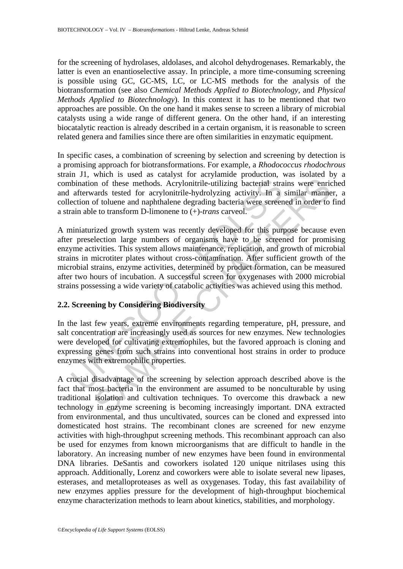for the screening of hydrolases, aldolases, and alcohol dehydrogenases. Remarkably, the latter is even an enantioselective assay. In principle, a more time-consuming screening is possible using GC, GC-MS, LC, or LC-MS methods for the analysis of the biotransformation (see also *Chemical Methods Applied to Biotechnology,* and *Physical Methods Applied to Biotechnology*). In this context it has to be mentioned that two approaches are possible. On the one hand it makes sense to screen a library of microbial catalysts using a wide range of different genera. On the other hand, if an interesting biocatalytic reaction is already described in a certain organism, it is reasonable to screen related genera and families since there are often similarities in enzymatic equipment.

In specific cases, a combination of screening by selection and screening by detection is a promising approach for biotransformations. For example, a *Rhodococcus rhodochrous* strain J1, which is used as catalyst for acrylamide production, was isolated by a combination of these methods. Acrylonitrile-utilizing bacterial strains were enriched and afterwards tested for acrylonitrile-hydrolyzing activity. In a similar manner, a collection of toluene and naphthalene degrading bacteria were screened in order to find a strain able to transform D-limonene to (+)-*trans* carveol.

bination of these methods. Acrylonitrile-utilizing bacterial straterwards tested for acrylonitrile-utilizing bacterial straterwards tested for acrylonitrile-hydrolyzing activity. In a ection of toluene and naphthalene degr In or these methods. Acrylonitrile-utilizzing bacterial strains were enricants tested for acrylonitrile-utilizzing bacterial strains were enricants tested for acrylonitrile-utilizzing bacterial strains were enricant and t A miniaturized growth system was recently developed for this purpose because even after preselection large numbers of organisms have to be screened for promising enzyme activities. This system allows maintenance, replication, and growth of microbial strains in microtiter plates without cross-contamination. After sufficient growth of the microbial strains, enzyme activities, determined by product formation, can be measured after two hours of incubation. A successful screen for oxygenases with 2000 microbial strains possessing a wide variety of catabolic activities was achieved using this method.

# **2.2. Screening by Considering Biodiversity**

In the last few years, extreme environments regarding temperature, pH, pressure, and salt concentration are increasingly used as sources for new enzymes. New technologies were developed for cultivating extremophiles, but the favored approach is cloning and expressing genes from such strains into conventional host strains in order to produce enzymes with extremophilic properties.

A crucial disadvantage of the screening by selection approach described above is the fact that most bacteria in the environment are assumed to be nonculturable by using traditional isolation and cultivation techniques. To overcome this drawback a new technology in enzyme screening is becoming increasingly important. DNA extracted from environmental, and thus uncultivated, sources can be cloned and expressed into domesticated host strains. The recombinant clones are screened for new enzyme activities with high-throughput screening methods. This recombinant approach can also be used for enzymes from known microorganisms that are difficult to handle in the laboratory. An increasing number of new enzymes have been found in environmental DNA libraries. DeSantis and coworkers isolated 120 unique nitrilases using this approach. Additionally, Lorenz and coworkers were able to isolate several new lipases, esterases, and metalloproteases as well as oxygenases. Today, this fast availability of new enzymes applies pressure for the development of high-throughput biochemical enzyme characterization methods to learn about kinetics, stabilities, and morphology.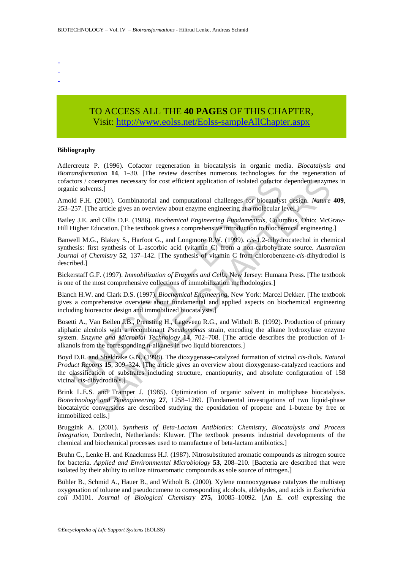- -
- -

# TO ACCESS ALL THE **40 PAGES** OF THIS CHAPTER, Visit: [http://www.eolss.net/Eolss-sampleAllChapter.aspx](https://www.eolss.net/ebooklib/sc_cart.aspx?File=E6-58-04-06)

#### **Bibliography**

Adlercreutz P. (1996). Cofactor regeneration in biocatalysis in organic media. *Biocatalysis and Biotransformation* **14**, 1–30. [The review describes numerous technologies for the regeneration of cofactors / coenzymes necessary for cost efficient application of isolated cofactor dependent enzymes in organic solvents.]

Arnold F.H. (2001). Combinatorial and computational challenges for biocatalyst design. *Nature* **409**, 253–257. [The article gives an overview about enzyme engineering at a molecular level.]

Bailey J.E. and Ollis D.F. (1986). *Biochemical Engineering Fundamentals*, Columbus, Ohio: McGraw-Hill Higher Education. [The textbook gives a comprehensive introduction to biochemical engineering.]

Banwell M.G., Blakey S., Harfoot G., and Longmore R.W. (1999). *cis*-1,2-dihydrocatechol in chemical synthesis: first synthesis of L-ascorbic acid (vitamin C) from a non-carbohydrate source. *Australian Journal of Chemistry* **52**, 137–142. [The synthesis of vitamin C from chlorobenzene-*cis*-dihydrodiol is described.]

Bickerstaff G.F. (1997). *Immobilization of Enzymes and Cells*, New Jersey: Humana Press. [The textbook is one of the most comprehensive collections of immobilization methodologies.]

Blanch H.W. and Clark D.S. (1997). *Biochemical Engineering*, New York: Marcel Dekker. [The textbook gives a comprehensive overview about fundamental and applied aspects on biochemical engineering including bioreactor design and immobilized biocatalysts.]

Bosetti A., Van Beilen J.B., Preusting H., Lageveen R.G., and Witholt B. (1992). Production of primary aliphatic alcohols with a recombinant *Pseudomonas* strain, encoding the alkane hydroxylase enzyme system. *Enzyme and Microbial Technology* **14**, 702–708. [The article describes the production of 1 alkanols from the corresponding n-alkanes in two liquid bioreactors.]

tors / coenzymes necessary for cost efficient application of isolated cofactor<br>nic solvents.]<br>Mo F.H. (2001). Combinatorial and computational challenges for biocatalys<br>257. [The article gives an overview about enzyme engin shell,<br>thus.]<br>thus:<br>thus:<br>the conversions are described in the polycality and computational<br>centere are article gives an overview about enzyme engineering at a molecular level.]<br>and Ollis D.F. (1986). *Biochemical Engineer* Boyd D.R. and Sheldrake G.N. (1998). The dioxygenase-catalyzed formation of vicinal *cis*-diols. *Natural Product Reports* **15**, 309–324. [The article gives an overview about dioxygenase-catalyzed reactions and the classification of substrates including structure, enantiopurity, and absolute configuration of 158 vicinal *cis*-dihydrodiols.]

Brink L.E.S. and Tramper J. (1985). Optimization of organic solvent in multiphase biocatalysis. *Biotechnology and Bioengineering* **27**, 1258–1269. [Fundamental investigations of two liquid-phase biocatalytic conversions are described studying the epoxidation of propene and 1-butene by free or immobilized cells.]

Bruggink A. (2001). *Synthesis of Beta-Lactam Antibiotics*: *Chemistry, Biocatalysis and Process Integration,* Dordrecht, Netherlands: Kluwer. [The textbook presents industrial developments of the chemical and biochemical processes used to manufacture of beta-lactam antibiotics.]

Bruhn C., Lenke H. and Knackmuss H.J. (1987). Nitrosubstituted aromatic compounds as nitrogen source for bacteria. *Applied and Environmental Microbiology* **53**, 208–210. [Bacteria are described that were isolated by their ability to utilize nitroaromatic compounds as sole source of nitrogen.]

Bühler B., Schmid A., Hauer B., and Witholt B. (2000). Xylene monooxygenase catalyzes the multistep oxygenation of toluene and pseudocumene to corresponding alcohols, aldehydes, and acids in *Escherichia coli* JM101. *Journal of Biological Chemistry* **275,** 10085–10092. [An *E. coli* expressing the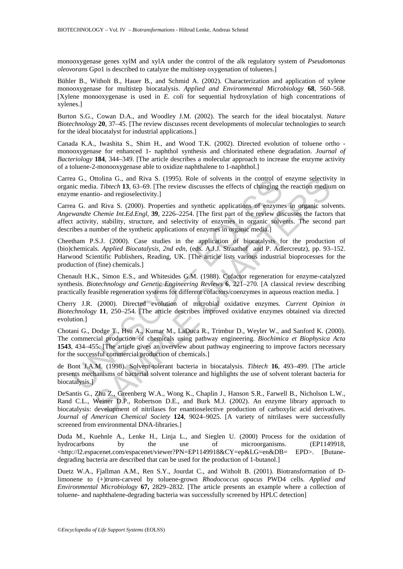monooxygenase genes xylM and xylA under the control of the alk regulatory system of *Pseudomonas oleovorans* Gpo1 is described to catalyze the multistep oxygenation of toluenes.]

Bühler B., Witholt B., Hauer B., and Schmid A. (2002). Characterization and application of xylene monooxygenase for multistep biocatalysis. *Applied and Environmental Microbiology* **68**, 560–568. [Xylene monooxygenase is used in *E. coli* for sequential hydroxylation of high concentrations of xylenes.]

Burton S.G., Cowan D.A., and Woodley J.M. (2002). The search for the ideal biocatalyst. *Nature Biotechnology* **20**, 37–45. [The review discusses recent developments of molecular technologies to search for the ideal biocatalyst for industrial applications.]

Canada K.A., Iwashita S., Shim H., and Wood T.K. (2002). Directed evolution of toluene ortho monooxygenase for enhanced 1- naphthol synthesis and chlorinated ethene degradation. *Journal of Bacteriology* **184**, 344–349. [The article describes a molecular approach to increase the enzyme activity of a toluene-2-monooxygenase able to oxidize naphthalene to 1-naphthol.]

Carrea G., Ottolina G., and Riva S. (1995). Role of solvents in the control of enzyme selectivity in organic media. *Tibtech* **13**, 63–69. [The review discusses the effects of changing the reaction medium on enzyme enantio- and regioselectivity.]

Carrea G. and Riva S. (2000). Properties and synthetic applications of enzymes in organic solvents. *Angewandte Chemie Int.Ed.Engl,* **39**, 2226–2254. [The first part of the review discusses the factors that affect activity, stability, structure, and selectivity of enzymes in organic solvents. The second part describes a number of the synthetic applications of enzymes in organic media.]

as G., Oltolma G., and Riva S. (1995). Role of solvents in the control of<br>nic media. Thereh 13, 63-69. [The review discusses the effects of changing the<br>me enantio- and regioselectivity.]<br>as G. and Riva S. (2000). Properti Itolian G., and Riva S. (1995). Role of solvents in the control of enzyme selectivition G., and Riva S. (2000). Properties and synthetic applications of enzymes in organic solver. and regiosclectivity.]<br>
at *Riva S.* (200 Cheetham P.S.J. (2000). Case studies in the application of biocatalysts for the production of (bio)chemicals. *Applied Biocatalysis, 2nd edn,* (eds. A.J.J. Straathof and P. Adlercreutz), pp. 93–152. Harwood Scientific Publishers, Reading, UK. [The article lists various industrial bioprocesses for the production of (fine) chemicals.]

Chenault H.K., Simon E.S., and Whitesides G.M. (1988). Cofactor regeneration for enzyme-catalyzed synthesis. *Biotechnology and Genetic Engineering Reviews* **6**, 221–270. [A classical review describing practically feasible regeneration systems for different cofactors/coenzymes in aqueous reaction media. ]

Cherry J.R. (2000). Directed evolution of microbial oxidative enzymes. *Current Opinion in Biotechnology* **11**, 250–254. [The article describes improved oxidative enzymes obtained via directed evolution.]

Chotani G., Dodge T., Hsu A., Kumar M., LaDuca R., Trimbur D., Weyler W., and Sanford K. (2000). The commercial production of chemicals using pathway engineering. *Biochimica et Biophysica Acta* **1543**, 434–455. [The article gives an overview about pathway engineering to improve factors necessary for the successful commercial production of chemicals.]

de Bont J.A.M. (1998). Solvent-tolerant bacteria in biocatalysis. *Tibtech* **16**, 493–499. [The article presents mechanisms of bacterial solvent tolerance and highlights the use of solvent tolerant bacteria for biocatalysis.]

DeSantis G., Zhu Z., Greenberg W.A., Wong K., Chaplin J., Hanson S.R., Farwell B., Nicholson L.W., Rand C.L., Weiner D.P., Robertson D.E., and Burk M.J. (2002). An enzyme library approach to biocatalysis: development of nitrilases for enantioselective production of carboxylic acid derivatives. *Journal of American Chemical Society* **124**, 9024–9025. [A variety of nitrilases were successfully screened from environmental DNA-libraries.]

Duda M., Kuehnle A., Lenke H., Linja L., and Sieglen U. (2000) Process for the oxidation of hydrocarbons by the use of microorganisms. (EP1149918, <http://l2.espacenet.com/espacenet/viewer?PN=EP1149918&CY=ep&LG=en&DB= EPD>. [Butanedegrading bacteria are described that can be used for the production of 1-butanol.]

Duetz W.A., Fjallman A.M., Ren S.Y., Jourdat C., and Witholt B. (2001). Biotransformation of Dlimonene to (+)*trans*-carveol by toluene-grown *Rhodococcus opacus* PWD4 cells. *Applied and Environmental Microbiology* **67,** 2829–2832. [The article presents an example where a collection of toluene- and naphthalene-degrading bacteria was successfully screened by HPLC detection]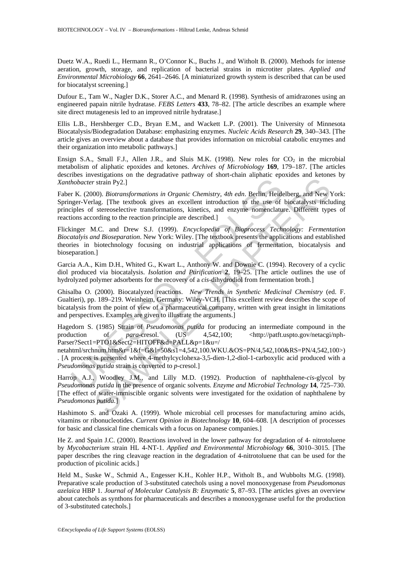Duetz W.A., Ruedi L., Hermann R., O'Connor K., Buchs J., and Witholt B. (2000). Methods for intense aeration, growth, storage, and replication of bacterial strains in microtiter plates. *Applied and Environmental Microbiology* **66**, 2641–2646. [A miniaturized growth system is described that can be used for biocatalyst screening.]

Dufour E., Tam W., Nagler D.K., Storer A.C., and Menard R. (1998). Synthesis of amidrazones using an engineered papain nitrile hydratase. *FEBS Letters* **433**, 78–82. [The article describes an example where site direct mutagenesis led to an improved nitrile hydratase.]

Ellis L.B., Hershberger C.D., Bryan E.M., and Wackett L.P. (2001). The University of Minnesota Biocatalysis/Biodegradation Database: emphasizing enzymes. *Nucleic Acids Research* **29**, 340–343. [The article gives an overview about a database that provides information on microbial catabolic enzymes and their organization into metabolic pathways.]

Ensign S.A., Small F.J., Allen J.R., and Sluis M.K. (1998). New roles for  $CO<sub>2</sub>$  in the microbial metabolism of aliphatic epoxides and ketones. *Archives of Microbiology* **169**, 179–187. [The articles describes investigations on the degradative pathway of short-chain aliphatic epoxides and ketones by *Xanthobacter* strain Py2.]

Faber K. (2000). *Biotransformations in Organic Chemistry*, *4th edn*. Berlin, Heidelberg, and New York: Springer-Verlag. [The textbook gives an excellent introduction to the use of biocatalysts including principles of stereoselective transformations, kinetics, and enzyme nomenclature. Different types of reactions according to the reaction principle are described.]

*hobacter* strain Py2.]<br>
Ir K. (2000). *Biotransformations in Organic Chemistry*, 4th edn. Berlin, Heidager-Verlag. [The textbook gives an excellent introduction to the use of tiples of stereoselective transformations, ki Strain Py2.]<br>
Strain Py2.]<br>
(00). *Biotransformations in Organic Chemistry, 4th edn.* Berlin, Heidelberg, and New Youter stresselective transformations, kinetics, and enzyme nomenclature. Different type stree<br>
streepselec Flickinger M.C. and Drew S.J. (1999). *Encyclopedia of Bioprocess Technology: Fermentation Biocatalyis and Bioseparation*. New York: Wiley. [The textbook presents the applications and established theories in biotechnology focusing on industrial applications of fermentation, biocatalysis and bioseparation.]

Garcia A.A., Kim D.H., Whited G., Kwart L., Anthony W. and Downie C. (1994). Recovery of a cyclic diol produced via biocatalysis. *Isolation and Purification* **2**, 19–25. [The article outlines the use of hydrolyzed polymer adsorbents for the recovery of a *cis*-dihydrodiol from fermentation broth.]

Ghisalba O. (2000). Biocatalyzed reactions. *New Trends in Synthetic Medicinal Chemistry* (ed. F. Gualtieri), pp. 189–219. Weinheim, Germany: Wiley-VCH. [This excellent review describes the scope of bicatalysis from the point of view of a pharmaceutical company, written with great insight in limitations and perspectives. Examples are given to illustrate the arguments.]

Hagedorn S. (1985) Strain of *Pseudomonas putida* for producing an intermediate compound in the production of *para-cresol.* (US 4,542,100; <http://patft.uspto.gov/netacgi/nph-Parser?Sect1=PTO1&Sect2=HITOFF&d=PALL&p=1&u=/

netahtml/srchnum.htm&r=1&f=G&l=50&s1=4,542,100.WKU.&OS=PN/4,542,100&RS=PN/4,542,100>) . [A process is presented where 4-methylcyclohexa-3,5-dien-1,2-diol-1-carboxylic acid produced with a *Pseudomonas putida* strain is converted to *p*-cresol.]

Harrop A.J., Woodley J.M., and Lilly M.D. (1992). Production of naphthalene-*cis*-glycol by *Pseudomonas putida* in the presence of organic solvents. *Enzyme and Microbial Technology* **14**, 725–730. [The effect of water-immiscible organic solvents were investigated for the oxidation of naphthalene by *Pseudomonas putida.*]

Hashimoto S. and Ozaki A. (1999). Whole microbial cell processes for manufacturing amino acids, vitamins or ribonucleotides. *Current Opinion in Biotechnology* **10**, 604–608. [A description of processes for basic and classical fine chemicals with a focus on Japanese companies.]

He Z. and Spain J.C. (2000). Reactions involved in the lower pathway for degradation of 4- nitrotoluene by *Mycobacterium* strain HL 4-NT-1. *Applied and Environmental Microbiology* **66**, 3010–3015. [The paper describes the ring cleavage reaction in the degradation of 4-nitrotoluene that can be used for the production of picolinic acids.]

Held M., Suske W., Schmid A., Engesser K.H., Kohler H.P., Witholt B., and Wubbolts M.G. (1998). Preparative scale production of 3-substituted catechols using a novel monooxygenase from *Pseudomonas azelaica* HBP 1. *Journal of Molecular Catalysis B: Enzymatic* **5**, 87–93. [The articles gives an overview about catechols as synthons for pharmaceuticals and describes a monooxygenase useful for the production of 3-substituted catechols.]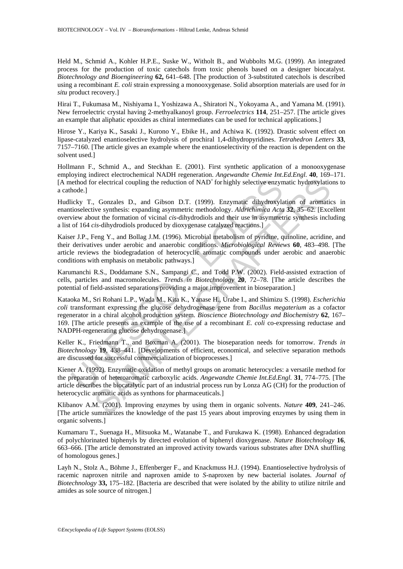Held M., Schmid A., Kohler H.P.E., Suske W., Witholt B., and Wubbolts M.G. (1999). An integrated process for the production of toxic catechols from toxic phenols based on a designer biocatalyst. *Biotechnology and Bioengineering* **62,** 641–648. [The production of 3-substituted catechols is described using a recombinant *E. coli* strain expressing a monooxygenase. Solid absorption materials are used for *in situ* product recovery.]

Hirai T., Fukumasa M., Nishiyama I., Yoshizawa A., Shiratori N., Yokoyama A., and Yamana M. (1991). New ferroelectric crystal having 2-methyalkanoyl group. *Ferroelectrics* **114**, 251–257. [The article gives an example that aliphatic epoxides as chiral intermediates can be used for technical applications.]

Hirose Y., Kariya K., Sasaki J., Kurono Y., Ebike H., and Achiwa K. (1992). Drastic solvent effect on lipase-catalyzed enantioselective hydrolysis of prochiral 1,4-dihydropyridines. *Tetrahedron Letters* **33**, 7157–7160. [The article gives an example where the enantioselectivity of the reaction is dependent on the solvent used.]

Hollmann F., Schmid A., and Steckhan E. (2001). First synthetic application of a monooxygenase employing indirect electrochemical NADH regeneration. *Angewandte Chemie Int.Ed.Engl.* **40**, 169–171. [A method for electrical coupling the reduction of NAD<sup>+</sup> for highly selective enzymatic hydroxylations to a cathode.]

Hudlicky T., Gonzales D., and Gibson D.T. (1999). Enzymatic dihydroxylation of aromatics in enantioselective synthesis: expanding asymmetric methodology. *Aldrichimica Acta* **32**, 35–62. [Excellent overview about the formation of vicinal *cis*-dihydrodiols and their use in asymmetric synthesis including a list of 164 *cis*-dihydrodiols produced by dioxygenase catalyzed reactions.]

Kaiser J.P., Feng Y., and Bollag J.M. (1996). Microbial metabolism of pyridine, quinoline, acridine, and their derivatives under aerobic and anaerobic conditions. *Microbiological Reviews* **60**, 483–498. [The article reviews the biodegradation of heterocyclic aromatic compounds under aerobic and anaerobic conditions with emphasis on metabolic pathways.]

Karumanchi R.S., Doddamane S.N., Sampangi C., and Todd P.W. (2002). Field-assisted extraction of cells, particles and macromolecules. *Trends in Biotechnology* **20**, 72–78. [The article describes the potential of field-assisted separations providing a major improvement in bioseparation.]

ethod for electrical coupling the reduction of NAD<sup>+</sup> for highly selective enzyn<br>hode.]<br>hode.]<br>ticky T., Gonzales D., and Gibson D.T. (1999). Enzymatic dihydroxylactive synthesis: expanding asymmetric methodology. *Aldrich* or electrical coupling the reduction of NAD' for highly selective enzymatic hydroxylation<br>
Conzales D., and Gibson D.T. (1999). Enzymatic dihydroxylation of aromatic<br>
view synthesis: expanding asymmetric methodology. Aldr Kataoka M., Sri Rohani L.P., Wada M., Kita K., Yanase H., Urabe I., and Shimizu S. (1998). *Escherichia coli* transformant expressing the glucose dehydrogenase gene from *Bacillus megaterium* as a cofactor regenerator in a chiral alcohol production system. *Bioscience Biotechnology and Biochemistry* **62**, 167– 169. [The article presents an example of the use of a recombinant *E. coli* co-expressing reductase and NADPH-regenerating glucose dehydrogenase.]

Keller K., Friedmann T., and Boxman A. (2001). The bioseparation needs for tomorrow. *Trends in Biotechnology* **19**, 438–441. [Developments of efficient, economical, and selective separation methods are discussed for successful commercialization of bioprocesses.]

Kiener A. (1992). Enzymatic oxidation of methyl groups on aromatic heterocycles: a versatile method for the preparation of heteroaromatic carboxylic acids. *Angewandte Chemie Int.Ed.Engl.* **31**, 774–775. [The article describes the biocatalytic part of an industrial process run by Lonza AG (CH) for the production of heterocyclic aromatic acids as synthons for pharmaceuticals.]

Klibanov A.M. (2001). Improving enzymes by using them in organic solvents. *Nature* **409**, 241–246. [The article summarizes the knowledge of the past 15 years about improving enzymes by using them in organic solvents.]

Kumamaru T., Suenaga H., Mitsuoka M., Watanabe T., and Furukawa K. (1998). Enhanced degradation of polychlorinated biphenyls by directed evolution of biphenyl dioxygenase. *Nature Biotechnology* **16**, 663–666. [The article demonstrated an improved activity towards various substrates after DNA shuffling of homologous genes.]

Layh N., Stolz A., Böhme J., Effenberger F., and Knackmuss H.J. (1994). Enantioselective hydrolysis of racemic naproxen nitrile and naproxen amide to *S*-naproxen by new bacterial isolates. *Journal of Biotechnology* **33,** 175–182. [Bacteria are described that were isolated by the ability to utilize nitrile and amides as sole source of nitrogen.]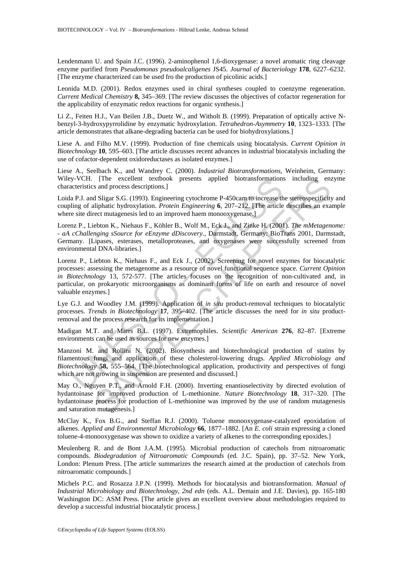Lendenmann U. and Spain J.C. (1996). 2-aminophenol 1,6-dioxygenase: a novel aromatic ring cleavage enzyme purified from *Pseudomonas pseudoalcaligenes* JS45. *Journal of Bacteriology* **178**, 6227–6232. [The enzyme characterized can be used fro the production of picolinic acids.]

Leonida M.D. (2001). Redox enzymes used in chiral syntheses coupled to coenzyme regeneration. *Current Medical Chemistry* **8,** 345–369. [The review discusses the objectives of cofactor regeneration for the applicability of enzymatic redox reactions for organic synthesis.]

Li Z., Feiten H.J., Van Beilen J.B., Duetz W., and Witholt B. (1999). Preparation of optically active Nbenzyl-3-hydroxypyrrolidine by enzymatic hydroxylation. *Tetrahedron-Asymmetry* **10**, 1323–1333. [The article demonstrates that alkane-degrading bacteria can be used for biohydroxylations.]

Liese A. and Filho M.V. (1999). Production of fine chemicals using biocatalysis. *Current Opinion in Biotechnology* **10**, 595–603. [The article discusses recent advances in industrial biocatalysis including the use of cofactor-dependent oxidoreductases as isolated enzymes.]

Liese A., Seelbach K., and Wandrey C. (2000). *Industrial Biotransformations*, Weinheim, Germany: Wiley-VCH. [The excellent textbook presents applied biotransformations including enzyme characteristics and process descriptions.]

Loida P.J. and Sligar S.G. (1993). Engineering cytochrome P-450cam to increase the stereospecificity and coupling of aliphatic hydroxylation. *Protein Engineering* **6**, 207–212. [The article describes an example where site direct mutagenesis led to an improved haem monooxygenase.

Lorenz P., Liebton K., Niehaus F., Köhler B., Wolf M., Eck J., and Zinke H. (2001). *The mMetagenome: - aA cChallenging sSource for eEnzyme dDiscovery.,* Darmstadt, Germany: BioTrans 2001, Darmstadt, Germany. [Lipases, esterases, metalloproteases, and oxygenases were successfully screened from environmental DNA-libraries.]

y-VCH. [The excellent textbook presents applied biotransformations<br>at P.J. and Sligar S.G. (1993). Engineering cytochrome P-450cam to increase the and process descriptions.]<br>a P.J. and Sligar S.G. (1993). Engineering cytoc [The excellent textbook presents applied biotransformations including en:<br>
The excellent textbook presents applied biotransformations including en:<br>
as and process descriptions.]<br>
d Sligar S.G. (1993). Engineering eytochr Lorenz P., Liebton K., Niehaus F., and Eck J., (2002). Screening for novel enzymes for biocatalytic processes: assessing the metagenome as a resource of novel functional sequence space. *Current Opinion in Biotechnology* 13, 572-577. [The articles focuses on the recognition of non-cultivated and, in particular, on prokaryotic microorganisms as dominant forms of life on earth and resource of novel valuable enzymes.]

Lye G.J. and Woodley J.M. (1999). Application of *in situ* product-removal techniques to biocatalytic processes. *Trends in Biotechnology* **17**, 395–402. [The article discusses the need for *in situ* productremoval and the process research for its implementation.]

Madigan M.T. and Marrs B.L. (1997). Extremophiles. *Scientific American* **276**, 82–87. [Extreme environments can be used as sources for new enzymes.]

Manzoni M. and Rollini N. (2002). Biosynthesis and biotechnological production of statins by filamentous fungi and application of these cholesterol-lowering drugs. *Applied Microbiology and Biotechnology* **58,** 555–564. [The biotechnological application, productivity and perspectives of fungi which are not growing in suspension are presented and discussed.

May O., Nguyen P.T., and Arnold F.H. (2000). Inverting enantioselectivity by directed evolution of hydantoinase for improved production of L-methionine. *Nature Biotechnology* **18**, 317–320. [The hydantoinase process for production of L-methionine was improved by the use of random mutagenesis and saturation mutagenesis.]

McClay K., Fox B.G., and Steffan R.J. (2000). Toluene monooxygenase-catalyzed epoxidation of alkenes. *Applied and Environmental Microbiology* **66**, 1877–1882. [An *E. coli* strain expressing a cloned toluene-4-monooxygenase was shown to oxidize a variety of alkenes to the corresponding epoxides.]

Meulenberg R. and de Bont J.A.M. (1995). Microbial production of catechols from nitroaromatic compounds. *Biodegradation of Nitroaromatic Compounds* (ed. J.C. Spain), pp. 37–52. New York, London: Plenum Press. [The article summarizes the research aimed at the production of catechols from nitroaromatic compounds.]

Michels P.C. and Rosazza J.P.N. (1999). Methods for biocatalysis and biotransformation. *Manual of Industrial Microbiology and Biotechnology, 2nd edn* (eds. A.L. Demain and J.E. Davies), pp. 165-180 Washington DC: ASM Press. [The article gives an excellent overview about methodologies required to develop a successful industrial biocatalytic process.]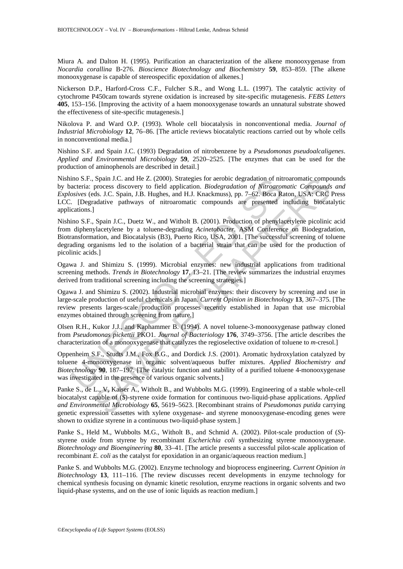Miura A. and Dalton H. (1995). Purification an characterization of the alkene monooxygenase from *Nocardia corallina* B-276. *Bioscience Biotechnology and Biochemistry* **59**, 853–859. [The alkene monooxygenase is capable of stereospecific epoxidation of alkenes.]

Nickerson D.P., Harford-Cross C.F., Fulcher S.R., and Wong L.L. (1997). The catalytic activity of cytochrome P450cam towards styrene oxidation is increased by site-specific mutagenesis. *FEBS Letters* **405**, 153–156. [Improving the activity of a haem monooxygenase towards an unnatural substrate showed the effectiveness of site-specific mutagenesis.]

Nikolova P. and Ward O.P. (1993). Whole cell biocatalysis in nonconventional media. *Journal of Industrial Microbiology* **12**, 76–86. [The article reviews biocatalytic reactions carried out by whole cells in nonconventional media.]

Nishino S.F. and Spain J.C. (1993) Degradation of nitrobenzene by a *Pseudomonas pseudoalcaligenes*. *Applied and Environmental Microbiology* **59**, 2520–2525. [The enzymes that can be used for the production of aminophenols are described in detail.]

Nishino S.F., Spain J.C. and He Z. (2000). Strategies for aerobic degradation of nitroaromatic compounds by bacteria: process discovery to field application. *Biodegradation of Nitroaromatic Compounds and Explosives* (eds. J.C. Spain, J.B. Hughes, and H.J. Knackmuss), pp. 7–62. Boca Raton, USA: CRC Press LCC. [Degradative pathways of nitroaromatic compounds are presented including biocatalytic applications.]

Ino. S.P., Spann J.C. and He Z. (2000). Strategies for aeroloc degradation of nution<br>acteria: process discovery to field application. *Biodegradation of Nitroaron*<br>orives (eds. J.C. Spain, J.B. Hughes, and H.J. Knackmuss), Spain 1.C. and He Z. (2000). Strategies for acredio degradation of nitroaromatic compounds<br>sprocess discovery to field application. *Biodegradation of Nitroaromatic Compounds*<br>ds. J.C. Spain, J.B. Hughes, and H.J. Knackmu Nishino S.F., Spain J.C., Duetz W., and Witholt B. (2001). Production of phenylacetylene picolinic acid from diphenylacetylene by a toluene-degrading *Acinetobacter*. ASM Conference on Biodegradation, Biotransformation, and Biocatalysis (B3), Puerto Rico, USA, 2001. [The successful screening of toluene degrading organisms led to the isolation of a bacterial strain that can be used for the production of picolinic acids.]

Ogawa J. and Shimizu S. (1999). Microbial enzymes: new industrial applications from traditional screening methods. *Trends in Biotechnology* **17**, 13–21. [The review summarizes the industrial enzymes derived from traditional screening including the screening strategies.]

Ogawa J. and Shimizu S. (2002). Industrial microbial enzymes: their discovery by screening and use in large-scale production of useful chemicals in Japan. *Current Opinion in Biotechnology* **13**, 367–375. [The review presents larges-scale production processes recently established in Japan that use microbial enzymes obtained through screening from nature.]

Olsen R.H., Kukor J.J., and Kaphammer B. (1994). A novel toluene-3-monooxygenase pathway cloned from *Pseudomonas pickettii* PKO1. *Journal of Bacteriology* **176**, 3749–3756. [The article describes the characterization of a monooxygenase that catalyzes the regioselective oxidation of toluene to *m*-cresol.]

Oppenheim S.F., Studts J.M., Fox B.G., and Dordick J.S. (2001). Aromatic hydroxylation catalyzed by toluene 4-monooxygenase in organic solvent/aqueous buffer mixtures. *Applied Biochemistry and Biotechnology* **90**, 187–197. [The catalytic function and stability of a purified toluene 4-monooxygenase was investigated in the presence of various organic solvents.]

Panke S., de L., V, Kaiser A., Witholt B., and Wubbolts M.G. (1999). Engineering of a stable whole-cell biocatalyst capable of (*S*)-styrene oxide formation for continuous two-liquid-phase applications. *Applied and Environmental Microbiology* **65**, 5619–5623. [Recombinant strains of *Pseudomonas putida* carrying genetic expression cassettes with xylene oxygenase- and styrene monooxygenase-encoding genes were shown to oxidize styrene in a continuous two-liquid-phase system.]

Panke S., Held M., Wubbolts M.G., Witholt B., and Schmid A. (2002). Pilot-scale production of (*S*) styrene oxide from styrene by recombinant *Escherichia coli* synthesizing styrene monooxygenase. *Biotechnology and Bioengineering* **80**, 33–41. [The article presents a successful pilot-scale application of recombinant *E. coli* as the catalyst for epoxidation in an organic/aqueous reaction medium.]

Panke S. and Wubbolts M.G. (2002). Enzyme technology and bioprocess engineering. *Current Opinion in Biotechnology* **13**, 111–116. [The review discusses recent developments in enzyme technology for chemical synthesis focusing on dynamic kinetic resolution, enzyme reactions in organic solvents and two liquid-phase systems, and on the use of ionic liquids as reaction medium.]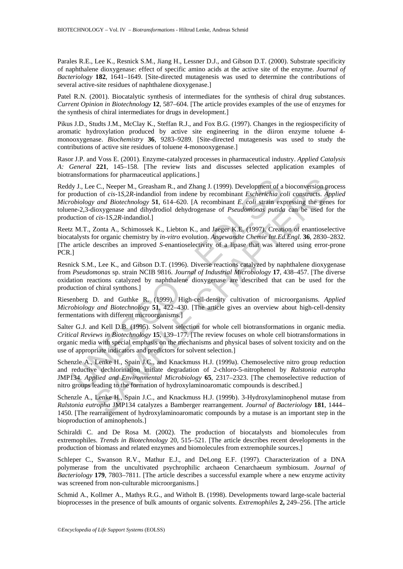Parales R.E., Lee K., Resnick S.M., Jiang H., Lessner D.J., and Gibson D.T. (2000). Substrate specificity of naphthalene dioxygenase: effect of specific amino acids at the active site of the enzyme. *Journal of Bacteriology* **182**, 1641–1649. [Site-directed mutagenesis was used to determine the contributions of several active-site residues of naphthalene dioxygenase.]

Patel R.N. (2001). Biocatalytic synthesis of intermediates for the synthesis of chiral drug substances. *Current Opinion in Biotechnology* **12**, 587–604. [The article provides examples of the use of enzymes for the synthesis of chiral intermediates for drugs in development.]

Pikus J.D., Studts J.M., McClay K., Steffan R.J., and Fox B.G. (1997). Changes in the regiospecificity of aromatic hydroxylation produced by active site engineering in the diiron enzyme toluene 4 monooxygenase. *Biochemistry* **36**, 9283–9289. [Site-directed mutagenesis was used to study the contributions of active site residues of toluene 4-monooxygenase.]

Rasor J.P. and Voss E. (2001). Enzyme-catalyzed processes in pharmaceutical industry. *Applied Catalysis A: General* **221**, 145–158. [The review lists and discusses selected application examples of biotransformations for pharmaceutical applications.]

Iy J., Lee C., Neeper M., Greasham R., and Zhang J. (1999). Development of a<br>roduction of *cis-1S,2R-indandiol* from indene by recombinant *Escherichia cobiology and Biotechnology* 51, 614–620. [A recombinant *E. coli stra* E C., Neeper M., Greasham R., and Zhang J. (1999). Development of a bioconversion pro<br>
c., Neeper M., Greasham R., and Zhang J. (1999). Development of a bioconversion pro<br>
of cas-15,2R-indandiol from indene by recombinant Reddy J., Lee C., Neeper M., Greasham R., and Zhang J. (1999). Development of a bioconversion process for production of *cis*-1*S*,2*R*-indandiol from indene by recombinant *Escherichia coli* constructs. *Applied Microbiology and Biotechnology* **51**, 614–620. [A recombinant *E. coli* strain expressing the genes for toluene-2,3-dioxygenase and dihydrodiol dehydrogenase of *Pseudomonas putida* can be used for the production of *cis*-1*S*,2*R*-indandiol.]

Reetz M.T., Zonta A., Schimossek K., Liebton K., and Jaeger K.E. (1997). Creation of enantioselective biocatalysts for organic chemistry by *in-vitro* evolution. *Angewandte Chemie Int.Ed.Engl.* **36**, 2830–2832. [The article describes an improved *S*-enantioselectivity of a lipase that was altered using error-prone PCR.]

Resnick S.M., Lee K., and Gibson D.T. (1996). Diverse reactions catalyzed by naphthalene dioxygenase from *Pseudomonas* sp. strain NCIB 9816. *Journal of Industrial Microbiology* **17**, 438–457. [The diverse oxidation reactions catalyzed by naphthalene dioxygenase are described that can be used for the production of chiral synthons.]

Riesenberg D. and Guthke R. (1999). High-cell-density cultivation of microorganisms. *Applied Microbiology and Biotechnology* **51**, 422–430. [The article gives an overview about high-cell-density fermentations with different microorganisms.]

Salter G.J. and Kell D.B. (1995). Solvent selection for whole cell biotransformations in organic media. *Critical Reviews in Biotechnology* **15**, 139–177. [The review focuses on whole cell biotransformations in organic media with special emphasis on the mechanisms and physical bases of solvent toxicity and on the use of appropriate indicators and predictors for solvent selection.]

Schenzle A., Lenke H., Spain J.C., and Knackmuss H.J. (1999a). Chemoselective nitro group reduction and reductive dechlorination initiate degradation of 2-chloro-5-nitrophenol by *Ralstonia eutropha* JMP134. *Applied and Environmental Microbiology* **65**, 2317–2323. [The chemoselective reduction of nitro groups leading to the formation of hydroxylaminoaromatic compounds is described.]

Schenzle A., Lenke H., Spain J.C., and Knackmuss H.J. (1999b). 3-Hydroxylaminophenol mutase from *Ralstonia eutropha* JMP134 catalyzes a Bamberger rearrangement. *Journal of Bacteriology* **181**, 1444– 1450. [The rearrangement of hydroxylaminoaromatic compounds by a mutase is an important step in the bioproduction of aminophenols.]

Schiraldi C. and De Rosa M. (2002). The production of biocatalysts and biomolecules from extremophiles. *Trends in Biotechnology* 20, 515–521. [The article describes recent developments in the production of biomass and related enzymes and biomolecules from extremophile sources.]

Schleper C., Swanson R.V., Mathur E.J., and DeLong E.F. (1997). Characterization of a DNA polymerase from the uncultivated psychrophilic archaeon Cenarchaeum symbiosum. *Journal of Bacteriology* **179**, 7803–7811. [The article describes a successful example where a new enzyme activity was screened from non-culturable microorganisms.]

Schmid A., Kollmer A., Mathys R.G., and Witholt B. (1998). Developments toward large-scale bacterial bioprocesses in the presence of bulk amounts of organic solvents. *Extremophiles* **2,** 249–256. [The article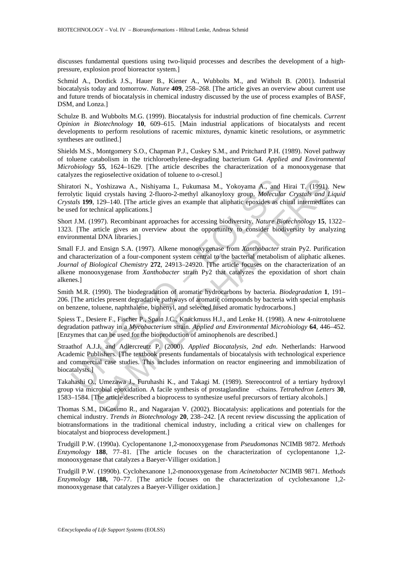discusses fundamental questions using two-liquid processes and describes the development of a highpressure, explosion proof bioreactor system.]

Schmid A., Dordick J.S., Hauer B., Kiener A., Wubbolts M., and Witholt B. (2001). Industrial biocatalysis today and tomorrow. *Nature* **409**, 258–268. [The article gives an overview about current use and future trends of biocatalysis in chemical industry discussed by the use of process examples of BASF, DSM, and Lonza.]

Schulze B. and Wubbolts M.G. (1999). Biocatalysis for industrial production of fine chemicals. *Current Opinion in Biotechnology* **10**, 609–615. [Main industrial applications of biocatalysts and recent developments to perform resolutions of racemic mixtures, dynamic kinetic resolutions, or asymmetric syntheses are outlined.]

Shields M.S., Montgomery S.O., Chapman P.J., Cuskey S.M., and Pritchard P.H. (1989). Novel pathway of toluene catabolism in the trichloroethylene-degrading bacterium G4. *Applied and Environmental Microbiology* **55**, 1624–1629. [The article describes the characterization of a monooxygenase that catalyzes the regioselective oxidation of toluene to *o*-cresol.]

Shiratori N., Yoshizawa A., Nishiyama I., Fukumasa M., Yokoyama A., and Hirai T. (1991). New ferrolytic liquid crystals having 2-fluoro-2-methyl alkanoyloxy group. *Molecular Crystals and Liquid Crystals* **199**, 129–140. [The article gives an example that aliphatic epoxides as chiral intermediates can be used for technical applications.]

Short J.M. (1997). Recombinant approaches for accessing biodiversity. *Nature Biotechnology* **15**, 1322– 1323. [The article gives an overview about the opportunity to consider biodiversity by analyzing environmental DNA libraries.]

ionism I., Fushizawa A., Nishiyama I., Fukumasa M., Yokoyama A., and<br>
ytic liquid crystals having 2-fluoro-2-methyl alkanoyloxy group. *Molecula<br>
tals* **199**, 129–140. [The article gives an example that aliphatic epoxides Yoshizawa A., Nishiyama I., Fukumasa M., Yokoyama A., and Hirai T. (1991),<br>
Yoshizawa A., Nishiyama I., Fukumasa M., Yokoyama A., and Hirai T. (1991),<br>
id crystals having 2-fluoro-2-methyl alkanoyloxy group. *Molecular Cr* Small F.J. and Ensign S.A. (1997). Alkene monooxygenase from *Xanthobacter* strain Py2. Purification and characterization of a four-component system central to the bacterial metabolism of aliphatic alkenes. *Journal of Biological Chemistry* **272**, 24913–24920. [The article focuses on the characterization of an alkene monooxygenase from *Xanthobacter* strain Py2 that catalyzes the epoxidation of short chain alkenes.]

Smith M.R. (1990). The biodegradation of aromatic hydrocarbons by bacteria. *Biodegradation* **1**, 191– 206. [The articles present degradative pathways of aromatic compounds by bacteria with special emphasis on benzene, toluene, naphthalene, biphenyl, and selected fused aromatic hydrocarbons.]

Spiess T., Desiere F., Fischer P., Spain J.C., Knackmuss H.J., and Lenke H. (1998). A new 4-nitrotoluene degradation pathway in a *Mycobacterium* strain. *Applied and Environmental Microbiology* **64**, 446–452. [Enzymes that can be used for the bioproduction of aminophenols are described.]

Straathof A.J.J. and Adlercreutz P. (2000). *Applied Biocatalysis, 2nd edn*. Netherlands: Harwood Academic Publishers. [The textbook presents fundamentals of biocatalysis with technological experience and commercial case studies. This includes information on reactor engineering and immobilization of biocatalysts.]

Takahashi O., Umezawa J., Furuhashi K., and Takagi M. (1989). Stereocontrol of a tertiary hydroxyl group via microbial epoxidation. A facile synthesis of prostaglandine -chains. *Tetrahedron Letters* **30**, 1583–1584. [The article described a bioprocess to synthesize useful precursors of tertiary alcohols.]

Thomas S.M., DiCosimo R., and Nagarajan V. (2002). Biocatalysis: applications and potentials for the chemical industry. *Trends in Biotechnology* **20**, 238–242. [A recent review discussing the application of biotransformations in the traditional chemical industry, including a critical view on challenges for biocatalyst and bioprocess development.]

Trudgill P.W. (1990a). Cyclopentanone 1,2-monooxygenase from *Pseudomonas* NCIMB 9872. *Methods Enzymology* **188**, 77–81. [The article focuses on the characterization of cyclopentanone 1,2 monooxygenase that catalyzes a Baeyer-Villiger oxidation.]

Trudgill P.W. (1990b). Cyclohexanone 1,2-monooxygenase from *Acinetobacter* NCIMB 9871. *Methods Enzymology* **188,** 70–77. [The article focuses on the characterization of cyclohexanone 1,2 monooxygenase that catalyzes a Baeyer-Villiger oxidation.]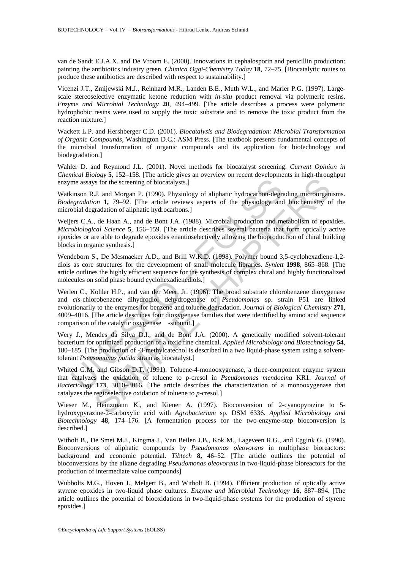van de Sandt E.J.A.X. and De Vroom E. (2000). Innovations in cephalosporin and penicillin production: painting the antibiotics industry green. *Chimica Oggi-Chemistry Today* **18**, 72–75. [Biocatalytic routes to produce these antibiotics are described with respect to sustainability.]

Vicenzi J.T., Zmijewski M.J., Reinhard M.R., Landen B.E., Muth W.L., and Marler P.G. (1997). Largescale stereoselective enzymatic ketone reduction with *in-situ* product removal via polymeric resins. *Enzyme and Microbial Technology* **20**, 494–499. [The article describes a process were polymeric hydrophobic resins were used to supply the toxic substrate and to remove the toxic product from the reaction mixture.]

Wackett L.P. and Hershberger C.D. (2001). *Biocatalysis and Biodegradation: Microbial Transformation of Organic Compounds*, Washington D.C.: ASM Press. [The textbook presents fundamental concepts of the microbial transformation of organic compounds and its application for biotechnology and biodegradation.]

Wahler D. and Reymond J.L. (2001). Novel methods for biocatalyst screening. *Current Opinion in Chemical Biology* **5**, 152–158. [The article gives an overview on recent developments in high-throughput enzyme assays for the screening of biocatalysts.]

Watkinson R.J. and Morgan P. (1990). Physiology of aliphatic hydrocarbon-degrading microorganisms. *Biodegradation* **1,** 79–92. [The article reviews aspects of the physiology and biochemistry of the microbial degradation of aliphatic hydrocarbons.]

Weijers C.A., de Haan A., and de Bont J.A. (1988). Microbial production and metabolism of epoxides. *Microbiological Science* **5**, 156–159. [The article describes several bacteria that form optically active epoxides or are able to degrade epoxides enantioselectively allowing the bioproduction of chiral building blocks in organic synthesis.]

Wendeborn S., De Mesmaeker A.D., and Brill W.K.D. (1998). Polymer bound 3,5-cyclohexadiene-1,2 diols as core structures for the development of small molecule libraries. *Synlett* **1998**, 865–868. [The article outlines the highly efficient sequence for the synthesis of complex chiral and highly functionalized molecules on solid phase bound cyclohexadienediols.]

me assays for the screening of biocatalysts.]<br>
inson R.J. and Morgan P. (1990). Physiology of aliphatic hydrocarbon-degri<br> *egradation* **1,** 79–92. [The article reviews aspects of the physiology and<br>
obial degradation of As for the screening of biocatalysts.]<br>
SAMPLE CHAPTER article reviews aspects of the physiology and biochemistry of<br>
SAMPLE article reviews aspects of the physiology and biochemistry of<br>
aradation of aliphatic hydrocarbo Werlen C., Kohler H.P., and van der Meer, Jr. (1996). The broad substrate chlorobenzene dioxygenase and *cis*-chlorobenzene dihydrodiol dehydrogenase of *Pseudomonas* sp. strain P51 are linked evolutionarily to the enzymes for benzene and toluene degradation. *Journal of Biological Chemistry* **271**, 4009–4016. [The article describes four dioxygenase families that were identified by amino acid sequence comparison of the catalytic oxygenase -subunit.]

Wery J., Mendes da Silva D.I., and de Bont J.A. (2000). A genetically modified solvent-tolerant bacterium for optimized production of a toxic fine chemical. *Applied Microbiology and Biotechnology* **54**, 180–185. [The production of -3-methylcatechol is described in a two liquid-phase system using a solventtolerant *Pseusomonas putida* strain as biocatalyst.]

Whited G.M. and Gibson D.T. (1991). Toluene-4-monooxygenase, a three-component enzyme system that catalyzes the oxidation of toluene to p-cresol in *Pseudomonas mendocina* KR1. *Journal of Bacteriology* **173**, 3010–3016. [The article describes the characterization of a monooxygenase that catalyzes the regioselective oxidation of toluene to *p*-cresol.]

Wieser M., Heinzmann K., and Kiener A. (1997). Bioconversion of 2-cyanopyrazine to 5 hydroxypyrazine-2-carboxylic acid with *Agrobacterium* sp. DSM 6336. *Applied Microbiology and Biotechnology* **48**, 174–176. [A fermentation process for the two-enzyme-step bioconversion is described.]

Witholt B., De Smet M.J., Kingma J., Van Beilen J.B., Kok M., Lageveen R.G., and Eggink G. (1990). Bioconversions of aliphatic compounds by *Pseudomonas oleovorans* in multiphase bioreactors: background and economic potential. *Tibtech* 8, 46–52. [The article outlines the potential of bioconversions by the alkane degrading *Pseudomonas oleovorans* in two-liquid-phase bioreactors for the production of intermediate value compounds]

Wubbolts M.G., Hoven J., Melgert B., and Witholt B. (1994). Efficient production of optically active styrene epoxides in two-liquid phase cultures. *Enzyme and Microbial Technology* **16**, 887–894. [The article outlines the potential of biooxidations in two-liquid-phase systems for the production of styrene epoxides.]